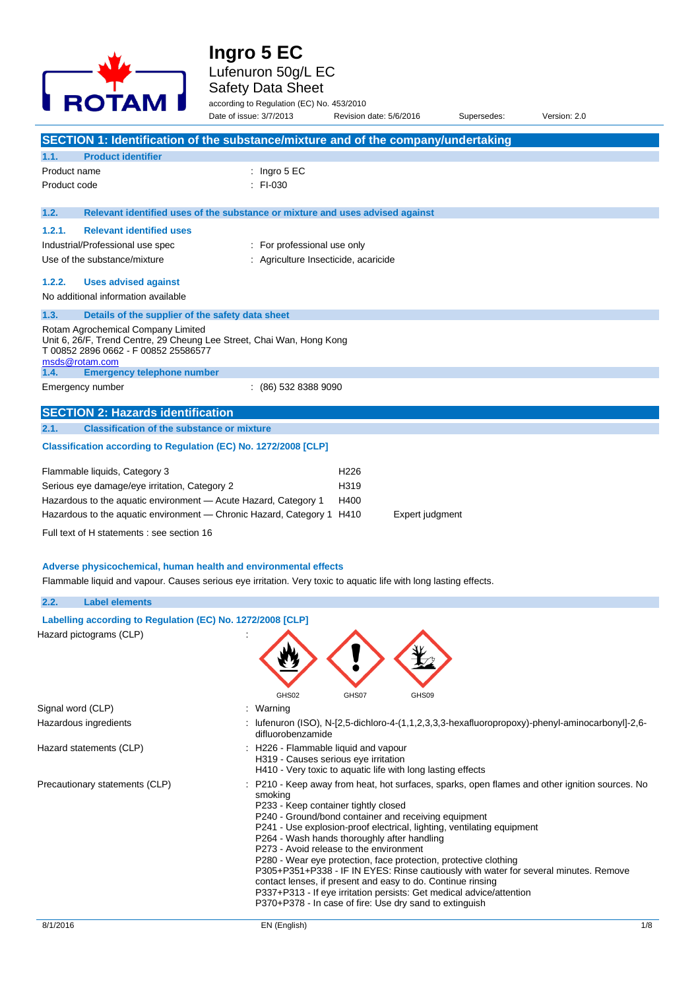# **Ingro 5 EC** Lufenuron 50g/L EC



### Safety Data Sheet

according to Regulation (EC) No. 453/2010

|                                                                                                                                                                        | Date of issue: 3/7/2013     | Revision date: 5/6/2016                                                                             | Supersedes: | Version: 2.0                                                                                 |
|------------------------------------------------------------------------------------------------------------------------------------------------------------------------|-----------------------------|-----------------------------------------------------------------------------------------------------|-------------|----------------------------------------------------------------------------------------------|
| SECTION 1: Identification of the substance/mixture and of the company/undertaking                                                                                      |                             |                                                                                                     |             |                                                                                              |
| 1.1.<br><b>Product identifier</b>                                                                                                                                      |                             |                                                                                                     |             |                                                                                              |
| Product name                                                                                                                                                           | : Ingro $5 \text{ EC}$      |                                                                                                     |             |                                                                                              |
| Product code                                                                                                                                                           | $:$ FI-030                  |                                                                                                     |             |                                                                                              |
|                                                                                                                                                                        |                             |                                                                                                     |             |                                                                                              |
| 1.2.<br>Relevant identified uses of the substance or mixture and uses advised against                                                                                  |                             |                                                                                                     |             |                                                                                              |
| 1.2.1.<br><b>Relevant identified uses</b>                                                                                                                              |                             |                                                                                                     |             |                                                                                              |
| Industrial/Professional use spec                                                                                                                                       | : For professional use only |                                                                                                     |             |                                                                                              |
| Use of the substance/mixture                                                                                                                                           |                             | : Agriculture Insecticide, acaricide                                                                |             |                                                                                              |
| 1.2.2.                                                                                                                                                                 |                             |                                                                                                     |             |                                                                                              |
| <b>Uses advised against</b><br>No additional information available                                                                                                     |                             |                                                                                                     |             |                                                                                              |
|                                                                                                                                                                        |                             |                                                                                                     |             |                                                                                              |
| 1.3.<br>Details of the supplier of the safety data sheet                                                                                                               |                             |                                                                                                     |             |                                                                                              |
| Rotam Agrochemical Company Limited<br>Unit 6, 26/F, Trend Centre, 29 Cheung Lee Street, Chai Wan, Hong Kong<br>T 00852 2896 0662 - F 00852 25586577<br>msds@rotam.com  |                             |                                                                                                     |             |                                                                                              |
| <b>Emergency telephone number</b><br>1.4.                                                                                                                              |                             |                                                                                                     |             |                                                                                              |
| Emergency number                                                                                                                                                       | (86) 532 8388 9090          |                                                                                                     |             |                                                                                              |
| <b>SECTION 2: Hazards identification</b>                                                                                                                               |                             |                                                                                                     |             |                                                                                              |
| 2.1.<br><b>Classification of the substance or mixture</b>                                                                                                              |                             |                                                                                                     |             |                                                                                              |
| Classification according to Regulation (EC) No. 1272/2008 [CLP]                                                                                                        |                             |                                                                                                     |             |                                                                                              |
|                                                                                                                                                                        |                             |                                                                                                     |             |                                                                                              |
| Flammable liquids, Category 3                                                                                                                                          |                             | H <sub>226</sub>                                                                                    |             |                                                                                              |
| Serious eye damage/eye irritation, Category 2                                                                                                                          |                             | H319                                                                                                |             |                                                                                              |
| Hazardous to the aquatic environment - Acute Hazard, Category 1                                                                                                        |                             | H400                                                                                                |             |                                                                                              |
| Hazardous to the aquatic environment - Chronic Hazard, Category 1 H410                                                                                                 |                             | Expert judgment                                                                                     |             |                                                                                              |
| Full text of H statements : see section 16                                                                                                                             |                             |                                                                                                     |             |                                                                                              |
|                                                                                                                                                                        |                             |                                                                                                     |             |                                                                                              |
| Adverse physicochemical, human health and environmental effects                                                                                                        |                             |                                                                                                     |             |                                                                                              |
| Flammable liquid and vapour. Causes serious eye irritation. Very toxic to aquatic life with long lasting effects.                                                      |                             |                                                                                                     |             |                                                                                              |
|                                                                                                                                                                        |                             |                                                                                                     |             |                                                                                              |
| <b>Label elements</b><br>2.2.                                                                                                                                          |                             |                                                                                                     |             |                                                                                              |
| Labelling according to Regulation (EC) No. 1272/2008 [CLP]                                                                                                             |                             |                                                                                                     |             |                                                                                              |
| Hazard pictograms (CLP)                                                                                                                                                |                             |                                                                                                     |             |                                                                                              |
|                                                                                                                                                                        |                             |                                                                                                     |             |                                                                                              |
|                                                                                                                                                                        |                             |                                                                                                     |             |                                                                                              |
|                                                                                                                                                                        |                             |                                                                                                     |             |                                                                                              |
|                                                                                                                                                                        | GHS02                       | GHS07<br>GHS09                                                                                      |             |                                                                                              |
| Signal word (CLP)                                                                                                                                                      | : Warning                   |                                                                                                     |             |                                                                                              |
| Hazardous ingredients                                                                                                                                                  | difluorobenzamide           | : lufenuron (ISO), N-[2,5-dichloro-4-(1,1,2,3,3,3-hexafluoropropoxy)-phenyl-aminocarbonyl]-2,6-     |             |                                                                                              |
| Hazard statements (CLP)                                                                                                                                                |                             | : H226 - Flammable liquid and vapour                                                                |             |                                                                                              |
|                                                                                                                                                                        |                             | H319 - Causes serious eye irritation<br>H410 - Very toxic to aquatic life with long lasting effects |             |                                                                                              |
| Precautionary statements (CLP)                                                                                                                                         |                             |                                                                                                     |             |                                                                                              |
|                                                                                                                                                                        | smoking                     |                                                                                                     |             | P210 - Keep away from heat, hot surfaces, sparks, open flames and other ignition sources. No |
| P233 - Keep container tightly closed<br>P240 - Ground/bond container and receiving equipment<br>P241 - Use explosion-proof electrical, lighting, ventilating equipment |                             |                                                                                                     |             |                                                                                              |
|                                                                                                                                                                        |                             |                                                                                                     |             |                                                                                              |
|                                                                                                                                                                        |                             | P264 - Wash hands thoroughly after handling                                                         |             |                                                                                              |

P273 - Avoid release to the environment

P280 - Wear eye protection, face protection, protective clothing

P305+P351+P338 - IF IN EYES: Rinse cautiously with water for several minutes. Remove

contact lenses, if present and easy to do. Continue rinsing

P337+P313 - If eye irritation persists: Get medical advice/attention P370+P378 - In case of fire: Use dry sand to extinguish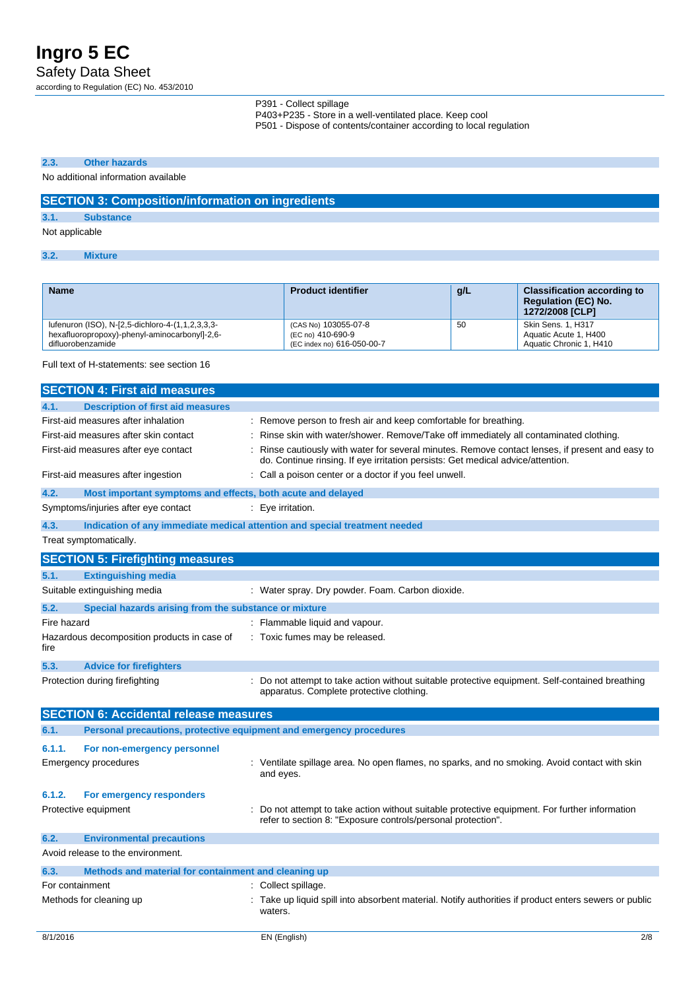**Ingro 5 EC** Safety Data Sheet

according to Regulation (EC) No. 453/2010

P391 - Collect spillage P403+P235 - Store in a well-ventilated place. Keep cool

P501 - Dispose of contents/container according to local regulation

### **2.3. Other hazards**

### No additional information available

### **SECTION 3: Composition/information on ingredients**

## **3.1. Substance**

### Not applicable

**3.2. Mixture**

| <b>Name</b>                                      | <b>Product identifier</b>  | g/L | <b>Classification according to</b><br><b>Regulation (EC) No.</b><br><b>1272/2008 [CLP]</b> |
|--------------------------------------------------|----------------------------|-----|--------------------------------------------------------------------------------------------|
| lufenuron (ISO), N-[2,5-dichloro-4-(1,1,2,3,3,3- | (CAS No) 103055-07-8       | 50  | Skin Sens. 1, H317                                                                         |
| hexafluoropropoxy)-phenyl-aminocarbonyl]-2,6-    | (EC no) 410-690-9          |     | Aquatic Acute 1, H400                                                                      |
| difluorobenzamide                                | (EC index no) 616-050-00-7 |     | Aquatic Chronic 1, H410                                                                    |

Full text of H-statements: see section 16

|                                     | <b>SECTION 4: First aid measures</b>                        |                                                                                                                                                                                   |
|-------------------------------------|-------------------------------------------------------------|-----------------------------------------------------------------------------------------------------------------------------------------------------------------------------------|
| 4.1.                                | <b>Description of first aid measures</b>                    |                                                                                                                                                                                   |
| First-aid measures after inhalation |                                                             | Remove person to fresh air and keep comfortable for breathing.                                                                                                                    |
|                                     | First-aid measures after skin contact                       | Rinse skin with water/shower. Remove/Take off immediately all contaminated clothing.                                                                                              |
|                                     | First-aid measures after eye contact                        | Rinse cautiously with water for several minutes. Remove contact lenses, if present and easy to<br>do. Continue rinsing. If eye irritation persists: Get medical advice/attention. |
| First-aid measures after ingestion  |                                                             | Call a poison center or a doctor if you feel unwell.                                                                                                                              |
| 4.2.                                | Most important symptoms and effects, both acute and delayed |                                                                                                                                                                                   |
|                                     | Symptoms/injuries after eye contact                         | Eye irritation.                                                                                                                                                                   |
| 4.3.                                |                                                             | Indication of any immediate medical attention and special treatment needed                                                                                                        |
| Treat symptomatically.              |                                                             |                                                                                                                                                                                   |
|                                     | <b>SECTION 5: Firefighting measures</b>                     |                                                                                                                                                                                   |
| 5.1.                                | <b>Extinguishing media</b>                                  |                                                                                                                                                                                   |
| Suitable extinguishing media        |                                                             | : Water spray. Dry powder. Foam. Carbon dioxide.                                                                                                                                  |
| 5.2.                                | Special hazards arising from the substance or mixture       |                                                                                                                                                                                   |
| Fire hazard                         |                                                             | Flammable liquid and vapour.                                                                                                                                                      |
| fire                                | Hazardous decomposition products in case of                 | : Toxic fumes may be released.                                                                                                                                                    |
| 5.3.                                | <b>Advice for firefighters</b>                              |                                                                                                                                                                                   |
| Protection during firefighting      |                                                             | : Do not attempt to take action without suitable protective equipment. Self-contained breathing<br>apparatus. Complete protective clothing.                                       |
|                                     | <b>SECTION 6: Accidental release measures</b>               |                                                                                                                                                                                   |
| 6.1.                                |                                                             | Personal precautions, protective equipment and emergency procedures                                                                                                               |
| 6.1.1.                              | For non-emergency personnel                                 |                                                                                                                                                                                   |
| <b>Emergency procedures</b>         |                                                             | Ventilate spillage area. No open flames, no sparks, and no smoking. Avoid contact with skin<br>and eyes.                                                                          |
| 6.1.2.                              | For emergency responders                                    |                                                                                                                                                                                   |
| Protective equipment                |                                                             | Do not attempt to take action without suitable protective equipment. For further information<br>refer to section 8: "Exposure controls/personal protection".                      |
| 6.2.                                | <b>Environmental precautions</b>                            |                                                                                                                                                                                   |
| Avoid release to the environment.   |                                                             |                                                                                                                                                                                   |
| 6.3.                                | Methods and material for containment and cleaning up        |                                                                                                                                                                                   |
| For containment                     |                                                             | Collect spillage.                                                                                                                                                                 |
| Methods for cleaning up             |                                                             | Take up liquid spill into absorbent material. Notify authorities if product enters sewers or public<br>waters.                                                                    |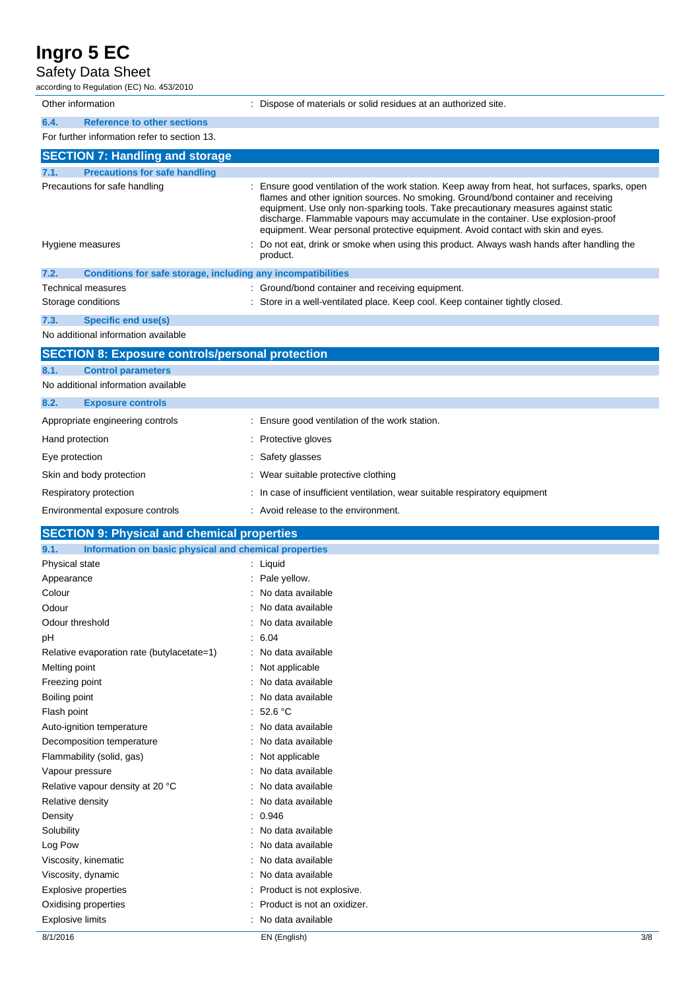### Safety Data Sheet

according to Regulation (EC) No. 453/2010

| Other information                                                         | : Dispose of materials or solid residues at an authorized site.                                                                                                                                                                                                                                                                                                                                                                                     |
|---------------------------------------------------------------------------|-----------------------------------------------------------------------------------------------------------------------------------------------------------------------------------------------------------------------------------------------------------------------------------------------------------------------------------------------------------------------------------------------------------------------------------------------------|
| <b>Reference to other sections</b><br>6.4.                                |                                                                                                                                                                                                                                                                                                                                                                                                                                                     |
| For further information refer to section 13.                              |                                                                                                                                                                                                                                                                                                                                                                                                                                                     |
| <b>SECTION 7: Handling and storage</b>                                    |                                                                                                                                                                                                                                                                                                                                                                                                                                                     |
| <b>Precautions for safe handling</b><br>7.1.                              |                                                                                                                                                                                                                                                                                                                                                                                                                                                     |
| Precautions for safe handling                                             | : Ensure good ventilation of the work station. Keep away from heat, hot surfaces, sparks, open<br>flames and other ignition sources. No smoking. Ground/bond container and receiving<br>equipment. Use only non-sparking tools. Take precautionary measures against static<br>discharge. Flammable vapours may accumulate in the container. Use explosion-proof<br>equipment. Wear personal protective equipment. Avoid contact with skin and eyes. |
| Hygiene measures                                                          | Do not eat, drink or smoke when using this product. Always wash hands after handling the<br>product.                                                                                                                                                                                                                                                                                                                                                |
| 7.2.<br>Conditions for safe storage, including any incompatibilities      |                                                                                                                                                                                                                                                                                                                                                                                                                                                     |
| Technical measures                                                        | : Ground/bond container and receiving equipment.                                                                                                                                                                                                                                                                                                                                                                                                    |
| Storage conditions                                                        | : Store in a well-ventilated place. Keep cool. Keep container tightly closed.                                                                                                                                                                                                                                                                                                                                                                       |
| 7.3.<br><b>Specific end use(s)</b><br>No additional information available |                                                                                                                                                                                                                                                                                                                                                                                                                                                     |
| <b>SECTION 8: Exposure controls/personal protection</b>                   |                                                                                                                                                                                                                                                                                                                                                                                                                                                     |
| 8.1.<br><b>Control parameters</b>                                         |                                                                                                                                                                                                                                                                                                                                                                                                                                                     |
| No additional information available                                       |                                                                                                                                                                                                                                                                                                                                                                                                                                                     |
| 8.2.<br><b>Exposure controls</b>                                          |                                                                                                                                                                                                                                                                                                                                                                                                                                                     |
| Appropriate engineering controls                                          | : Ensure good ventilation of the work station.                                                                                                                                                                                                                                                                                                                                                                                                      |
|                                                                           |                                                                                                                                                                                                                                                                                                                                                                                                                                                     |
| Hand protection                                                           | : Protective gloves                                                                                                                                                                                                                                                                                                                                                                                                                                 |
| Eye protection                                                            | Safety glasses                                                                                                                                                                                                                                                                                                                                                                                                                                      |
| Skin and body protection                                                  | : Wear suitable protective clothing                                                                                                                                                                                                                                                                                                                                                                                                                 |
| Respiratory protection                                                    | In case of insufficient ventilation, wear suitable respiratory equipment                                                                                                                                                                                                                                                                                                                                                                            |
| Environmental exposure controls                                           | : Avoid release to the environment.                                                                                                                                                                                                                                                                                                                                                                                                                 |
| <b>SECTION 9: Physical and chemical properties</b>                        |                                                                                                                                                                                                                                                                                                                                                                                                                                                     |
| 9.1.<br>Information on basic physical and chemical properties             |                                                                                                                                                                                                                                                                                                                                                                                                                                                     |
| Physical state                                                            | : Liquid                                                                                                                                                                                                                                                                                                                                                                                                                                            |
| Appearance                                                                |                                                                                                                                                                                                                                                                                                                                                                                                                                                     |
|                                                                           | Pale yellow.                                                                                                                                                                                                                                                                                                                                                                                                                                        |
| Colour                                                                    | No data available                                                                                                                                                                                                                                                                                                                                                                                                                                   |
| Odour                                                                     | : No data available                                                                                                                                                                                                                                                                                                                                                                                                                                 |
| Odour threshold                                                           | : No data available                                                                                                                                                                                                                                                                                                                                                                                                                                 |
| рH                                                                        | : 6.04                                                                                                                                                                                                                                                                                                                                                                                                                                              |
| Relative evaporation rate (butylacetate=1)                                | : No data available                                                                                                                                                                                                                                                                                                                                                                                                                                 |
| Melting point                                                             | Not applicable                                                                                                                                                                                                                                                                                                                                                                                                                                      |
| Freezing point                                                            | : No data available                                                                                                                                                                                                                                                                                                                                                                                                                                 |
| Boiling point                                                             | No data available<br>: 52.6 °C                                                                                                                                                                                                                                                                                                                                                                                                                      |
| Flash point<br>Auto-ignition temperature                                  | : No data available                                                                                                                                                                                                                                                                                                                                                                                                                                 |
| Decomposition temperature                                                 | No data available                                                                                                                                                                                                                                                                                                                                                                                                                                   |
| Flammability (solid, gas)                                                 | : Not applicable                                                                                                                                                                                                                                                                                                                                                                                                                                    |
| Vapour pressure                                                           | No data available                                                                                                                                                                                                                                                                                                                                                                                                                                   |
| Relative vapour density at 20 °C                                          | No data available                                                                                                                                                                                                                                                                                                                                                                                                                                   |
| Relative density                                                          | No data available                                                                                                                                                                                                                                                                                                                                                                                                                                   |
| Density                                                                   | : 0.946                                                                                                                                                                                                                                                                                                                                                                                                                                             |
| Solubility                                                                | : No data available                                                                                                                                                                                                                                                                                                                                                                                                                                 |
| Log Pow                                                                   | No data available                                                                                                                                                                                                                                                                                                                                                                                                                                   |
| Viscosity, kinematic                                                      | No data available                                                                                                                                                                                                                                                                                                                                                                                                                                   |
| Viscosity, dynamic                                                        | No data available                                                                                                                                                                                                                                                                                                                                                                                                                                   |
| <b>Explosive properties</b><br>Oxidising properties                       | : Product is not explosive.<br>Product is not an oxidizer.                                                                                                                                                                                                                                                                                                                                                                                          |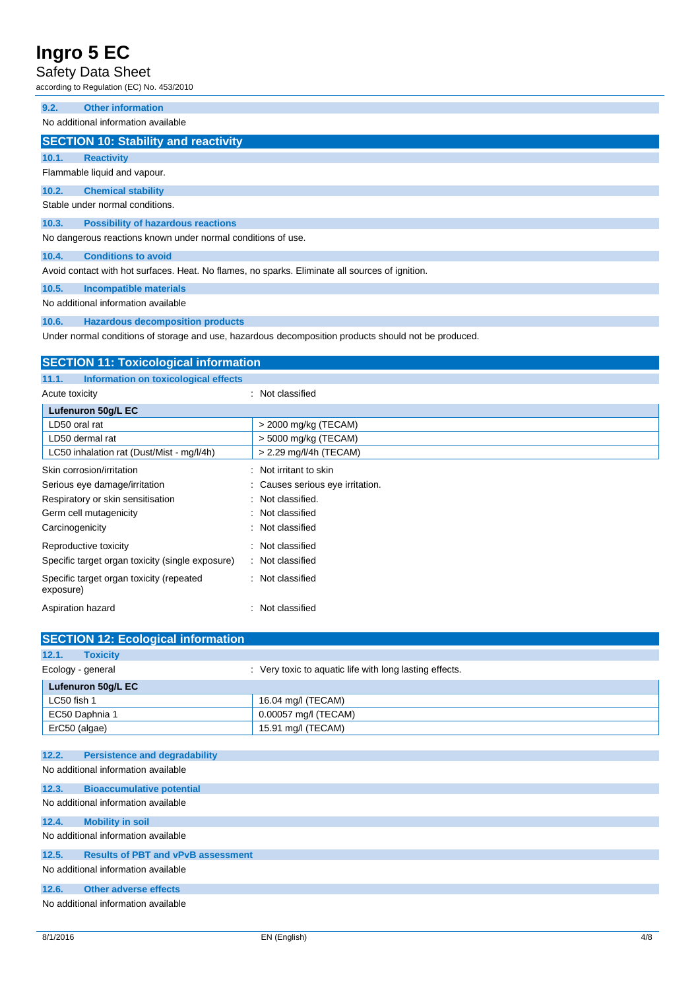### Safety Data Sheet

according to Regulation (EC) No. 453/2010

**9.2. Other information**

No additional information available

### **SECTION 10: Stability and reactivity**

**10.1. Reactivity** Flammable liquid and vapour.

**10.2. Chemical stability** Stable under normal conditions.

## **10.3. Possibility of hazardous reactions**

No dangerous reactions known under normal conditions of use.

**10.4. Conditions to avoid**

Avoid contact with hot surfaces. Heat. No flames, no sparks. Eliminate all sources of ignition.

### **10.5. Incompatible materials**

No additional information available

#### **10.6. Hazardous decomposition products**

Under normal conditions of storage and use, hazardous decomposition products should not be produced.

| <b>SECTION 11: Toxicological information</b>          |                                  |  |
|-------------------------------------------------------|----------------------------------|--|
| Information on toxicological effects<br>11.1.         |                                  |  |
| Acute toxicity                                        | : Not classified                 |  |
| Lufenuron 50g/L EC                                    |                                  |  |
| LD50 oral rat                                         | > 2000 mg/kg (TECAM)             |  |
| LD50 dermal rat                                       | > 5000 mg/kg (TECAM)             |  |
| LC50 inhalation rat (Dust/Mist - mg/l/4h)             | > 2.29 mg/l/4h (TECAM)           |  |
| Skin corrosion/irritation                             | : Not irritant to skin           |  |
| Serious eye damage/irritation                         | : Causes serious eye irritation. |  |
| Respiratory or skin sensitisation                     | : Not classified.                |  |
| Germ cell mutagenicity                                | Not classified<br>÷.             |  |
| Carcinogenicity                                       | : Not classified                 |  |
| Reproductive toxicity                                 | Not classified                   |  |
| Specific target organ toxicity (single exposure)      | Not classified<br>÷              |  |
| Specific target organ toxicity (repeated<br>exposure) | : Not classified                 |  |
| Aspiration hazard                                     | Not classified                   |  |

| <b>SECTION 12: Ecological information</b> |                                                         |
|-------------------------------------------|---------------------------------------------------------|
| 12.1.<br><b>Toxicity</b>                  |                                                         |
| Ecology - general                         | : Very toxic to aquatic life with long lasting effects. |
| Lufenuron 50g/L EC                        |                                                         |
| LC50 fish 1                               | 16.04 mg/l (TECAM)                                      |
| EC50 Daphnia 1                            | 0.00057 mg/l (TECAM)                                    |
| ErC50 (algae)                             | 15.91 mg/l (TECAM)                                      |
|                                           |                                                         |

|       | 12.2. Persistence and degradability       |
|-------|-------------------------------------------|
|       | No additional information available       |
| 12.3. | <b>Bioaccumulative potential</b>          |
|       | No additional information available       |
| 12.4. | <b>Mobility in soil</b>                   |
|       | No additional information available       |
| 12.5. | <b>Results of PBT and vPvB assessment</b> |
|       | No additional information available       |
| 12.6. | <b>Other adverse effects</b>              |
|       | No additional information available       |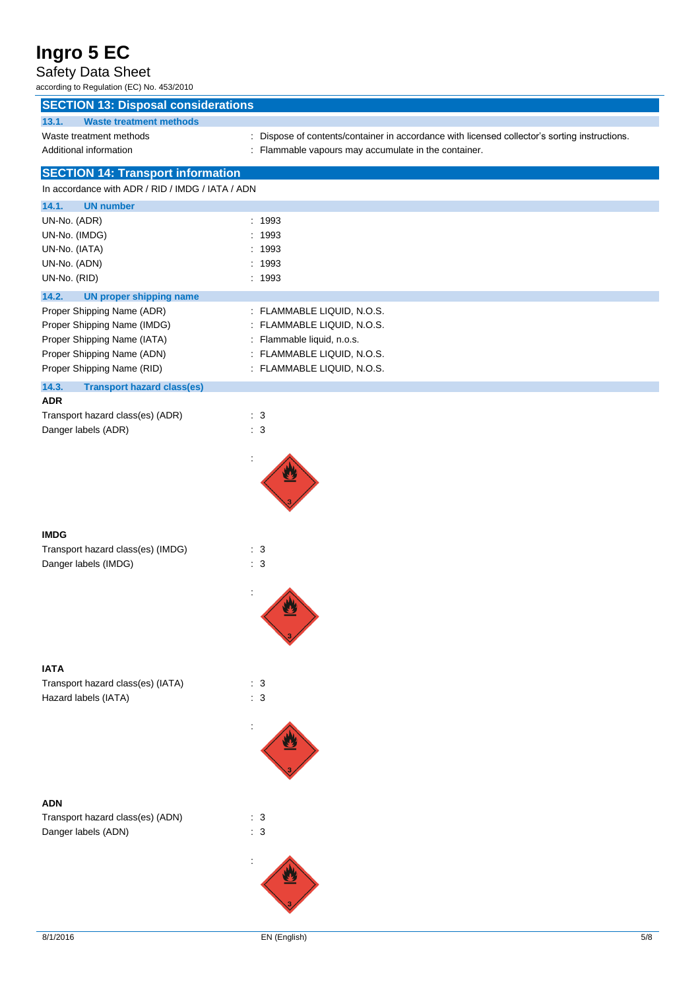### Safety Data Sheet

| according to Regulation (EC) No. 453/2010                             |                                                                                               |
|-----------------------------------------------------------------------|-----------------------------------------------------------------------------------------------|
| <b>SECTION 13: Disposal considerations</b>                            |                                                                                               |
| 13.1.<br><b>Waste treatment methods</b>                               |                                                                                               |
| Waste treatment methods                                               | : Dispose of contents/container in accordance with licensed collector's sorting instructions. |
| Additional information                                                | : Flammable vapours may accumulate in the container.                                          |
| <b>SECTION 14: Transport information</b>                              |                                                                                               |
| In accordance with ADR / RID / IMDG / IATA / ADN                      |                                                                                               |
| 14.1.<br><b>UN number</b>                                             |                                                                                               |
| UN-No. (ADR)                                                          | : 1993                                                                                        |
| UN-No. (IMDG)                                                         | : 1993                                                                                        |
| UN-No. (IATA)                                                         | : 1993                                                                                        |
| UN-No. (ADN)                                                          | 1993<br>: 1993                                                                                |
| UN-No. (RID)                                                          |                                                                                               |
| 14.2.<br><b>UN proper shipping name</b><br>Proper Shipping Name (ADR) | : FLAMMABLE LIQUID, N.O.S.                                                                    |
| Proper Shipping Name (IMDG)                                           | : FLAMMABLE LIQUID, N.O.S.                                                                    |
| Proper Shipping Name (IATA)                                           | : Flammable liquid, n.o.s.                                                                    |
| Proper Shipping Name (ADN)                                            | : FLAMMABLE LIQUID, N.O.S.                                                                    |
| Proper Shipping Name (RID)                                            | : FLAMMABLE LIQUID, N.O.S.                                                                    |
| 14.3.<br><b>Transport hazard class(es)</b>                            |                                                                                               |
| <b>ADR</b>                                                            |                                                                                               |
| Transport hazard class(es) (ADR)                                      | $\therefore$ 3                                                                                |
| Danger labels (ADR)                                                   | : 3                                                                                           |
|                                                                       |                                                                                               |
|                                                                       |                                                                                               |
|                                                                       |                                                                                               |
|                                                                       |                                                                                               |
|                                                                       |                                                                                               |
| <b>IMDG</b>                                                           |                                                                                               |
| Transport hazard class(es) (IMDG)                                     | : 3                                                                                           |
| Danger labels (IMDG)                                                  | $\therefore$ 3                                                                                |
|                                                                       |                                                                                               |
|                                                                       |                                                                                               |
|                                                                       |                                                                                               |
|                                                                       |                                                                                               |
|                                                                       |                                                                                               |
|                                                                       |                                                                                               |
| <b>IATA</b><br>Transport hazard class(es) (IATA)                      | $\cdot$ 3                                                                                     |
| Hazard labels (IATA)                                                  | $\therefore$ 3                                                                                |
|                                                                       |                                                                                               |
|                                                                       |                                                                                               |
|                                                                       |                                                                                               |
|                                                                       |                                                                                               |
|                                                                       |                                                                                               |
|                                                                       |                                                                                               |
| <b>ADN</b>                                                            |                                                                                               |
| Transport hazard class(es) (ADN)                                      | $\cdot$ 3                                                                                     |
| Danger labels (ADN)                                                   | $\therefore$ 3                                                                                |
|                                                                       |                                                                                               |
|                                                                       |                                                                                               |
|                                                                       |                                                                                               |
|                                                                       |                                                                                               |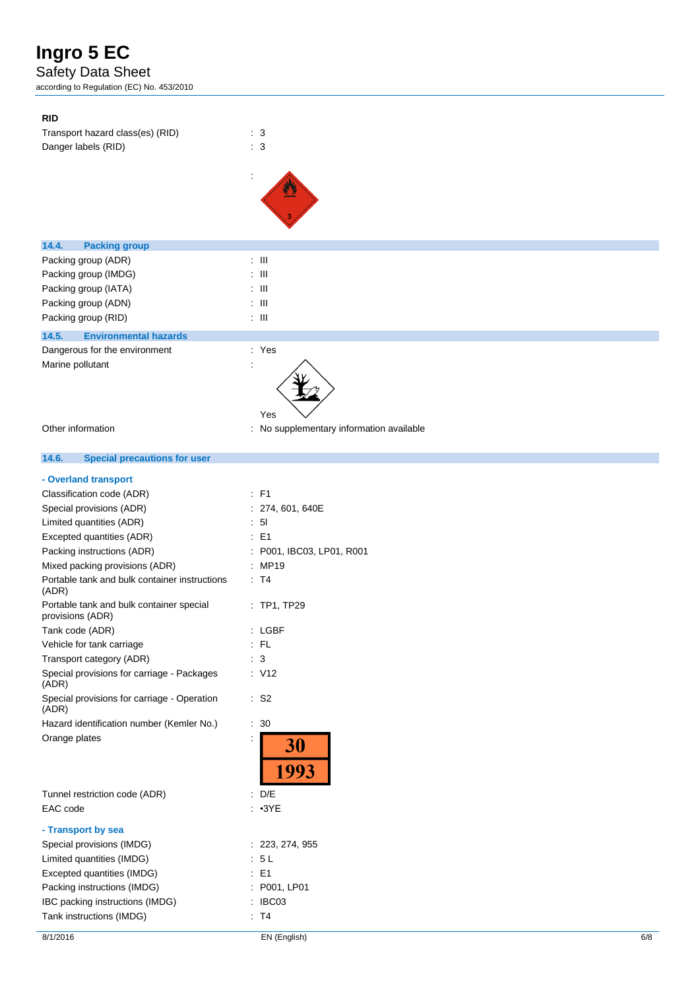### Safety Data Sheet

according to Regulation (EC) No. 453/2010

| <b>RID</b>                            |                                          |
|---------------------------------------|------------------------------------------|
| Transport hazard class(es) (RID)      | $\cdot$ 3                                |
| Danger labels (RID)                   | $\therefore$ 3                           |
|                                       |                                          |
|                                       |                                          |
|                                       |                                          |
|                                       |                                          |
|                                       |                                          |
| 14.4.<br><b>Packing group</b>         |                                          |
| Packing group (ADR)                   | $\div$ III                               |
| Packing group (IMDG)                  | $\pm$ 111                                |
| Packing group (IATA)                  | $\pm$ 111                                |
| Packing group (ADN)                   | $\div$ III                               |
| Packing group (RID)                   | $\div$ III                               |
| 14.5.<br><b>Environmental hazards</b> |                                          |
| Dangerous for the environment         | : Yes                                    |
| Marine pollutant                      | ÷                                        |
|                                       | Yes                                      |
| Other information                     | : No supplementary information available |

#### $14.6.$ **14.6. Special precautions for user**

### **- Overland transport**

| Classification code (ADR)                                    | $E = F1$                                   |
|--------------------------------------------------------------|--------------------------------------------|
| Special provisions (ADR)                                     | 274, 601, 640E                             |
| Limited quantities (ADR)                                     | 51                                         |
| Excepted quantities (ADR)                                    | E <sub>1</sub><br>$\overline{\phantom{a}}$ |
| Packing instructions (ADR)                                   | P001, IBC03, LP01, R001                    |
| Mixed packing provisions (ADR)                               | MP19                                       |
| Portable tank and bulk container instructions<br>(ADR)       | T4                                         |
| Portable tank and bulk container special<br>provisions (ADR) | $:$ TP1, TP29                              |
| Tank code (ADR)                                              | LGBF                                       |
| Vehicle for tank carriage                                    | $:$ FL                                     |
| Transport category (ADR)                                     | 3                                          |
| Special provisions for carriage - Packages<br>(ADR)          | : V12                                      |
| Special provisions for carriage - Operation<br>(ADR)         | S <sub>2</sub><br>t.                       |
| Hazard identification number (Kemler No.)                    | 30<br>÷.                                   |
| Orange plates                                                | İ<br><b>30</b><br>1993                     |
| Tunnel restriction code (ADR)                                | : $D/E$                                    |
| EAC code                                                     | $\cdot$ <sub>3</sub> YE                    |
| - Transport by sea                                           |                                            |
| Special provisions (IMDG)                                    | : 223, 274, 955                            |
| Limited quantities (IMDG)                                    | : 5L                                       |
| Excepted quantities (IMDG)                                   | $E = 1$                                    |
| Packing instructions (IMDG)                                  | P001, LP01                                 |
| IBC packing instructions (IMDG)                              | IBC03                                      |
| Tank instructions (IMDG)                                     | T <sub>4</sub>                             |
|                                                              |                                            |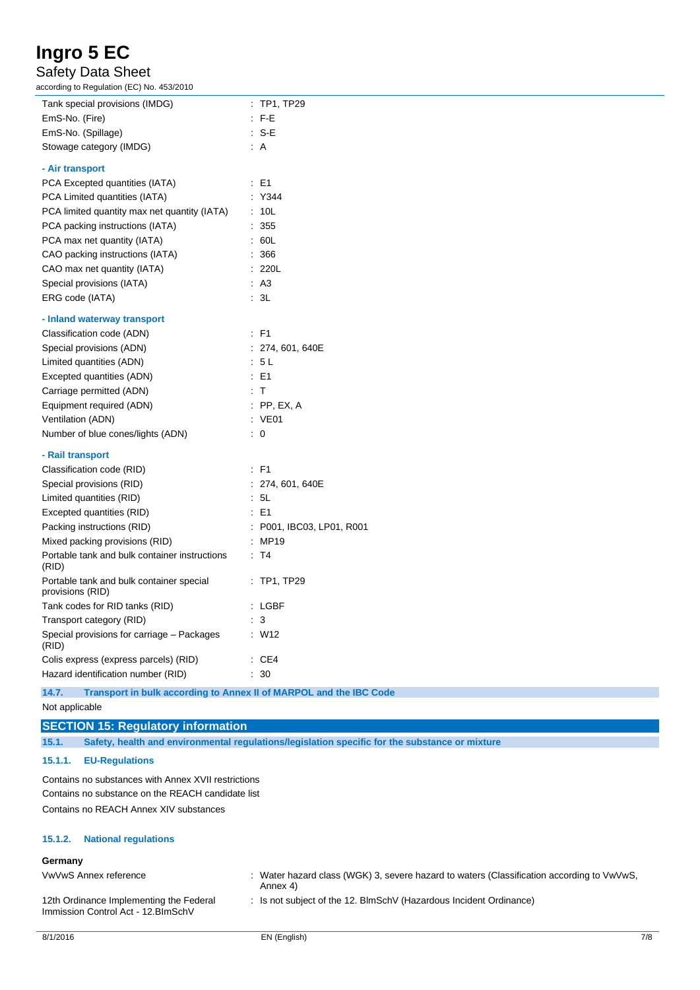### Safety Data Sheet

according to Regulation (EC) No. 453/2010

| CCORDING TO REGULATION (LC) NO. 455/2010<br>Tank special provisions (IMDG) | $:$ TP1, TP29                                                      |
|----------------------------------------------------------------------------|--------------------------------------------------------------------|
| EmS-No. (Fire)                                                             | $:$ F-E                                                            |
| EmS-No. (Spillage)                                                         | $: S-E$                                                            |
| Stowage category (IMDG)                                                    | : A                                                                |
|                                                                            |                                                                    |
| - Air transport                                                            |                                                                    |
| PCA Excepted quantities (IATA)                                             | $\therefore$ E1                                                    |
| PCA Limited quantities (IATA)                                              | : Y344                                                             |
| PCA limited quantity max net quantity (IATA)                               | : 10L                                                              |
| PCA packing instructions (IATA)                                            | $\therefore$ 355                                                   |
| PCA max net quantity (IATA)                                                | .60 <sub>L</sub>                                                   |
| CAO packing instructions (IATA)                                            | : 366                                                              |
| CAO max net quantity (IATA)                                                | : 220L                                                             |
| Special provisions (IATA)                                                  | AA                                                                 |
| ERG code (IATA)                                                            | 3L                                                                 |
| - Inland waterway transport                                                |                                                                    |
| Classification code (ADN)                                                  | $\therefore$ F1                                                    |
| Special provisions (ADN)                                                   | : 274, 601, 640E                                                   |
| Limited quantities (ADN)                                                   | .5L                                                                |
| Excepted quantities (ADN)                                                  | $\therefore$ E1                                                    |
| Carriage permitted (ADN)                                                   | $\cdot$ T                                                          |
| Equipment required (ADN)                                                   | $:$ PP, EX, A                                                      |
| Ventilation (ADN)                                                          | : VE01                                                             |
| Number of blue cones/lights (ADN)                                          | $\therefore$ 0                                                     |
| - Rail transport                                                           |                                                                    |
| Classification code (RID)                                                  | $:$ F1                                                             |
| Special provisions (RID)                                                   | : 274, 601, 640E                                                   |
| Limited quantities (RID)                                                   | : 5L                                                               |
| Excepted quantities (RID)                                                  | $\therefore$ E1                                                    |
| Packing instructions (RID)                                                 | : P001, IBC03, LP01, R001                                          |
| Mixed packing provisions (RID)                                             | : MP19                                                             |
| Portable tank and bulk container instructions<br>(RID)                     | : T4                                                               |
| Portable tank and bulk container special<br>provisions (RID)               | $:$ TP1, TP29                                                      |
| Tank codes for RID tanks (RID)                                             | $:$ LGBF                                                           |
| Transport category (RID)                                                   | $\therefore$ 3                                                     |
| Special provisions for carriage - Packages<br>(RID)                        | : W12                                                              |
| Colis express (express parcels) (RID)                                      | $\therefore$ CE4                                                   |
| Hazard identification number (RID)                                         | $\cdot$ 30                                                         |
| 14.7.                                                                      | Transport in bulk according to Annex II of MARPOL and the IBC Code |

Not applicable

### **SECTION 15: Regulatory information**

**15.1. Safety, health and environmental regulations/legislation specific for the substance or mixture**

#### **15.1.1. EU-Regulations**

Contains no substances with Annex XVII restrictions Contains no substance on the REACH candidate list Contains no REACH Annex XIV substances

#### **15.1.2. National regulations**

### **Germany**

VwVwS Annex reference : Water hazard class (WGK) 3, severe hazard to waters (Classification according to VwVwS, Annex 4)

: Is not subject of the 12. BlmSchV (Hazardous Incident Ordinance)